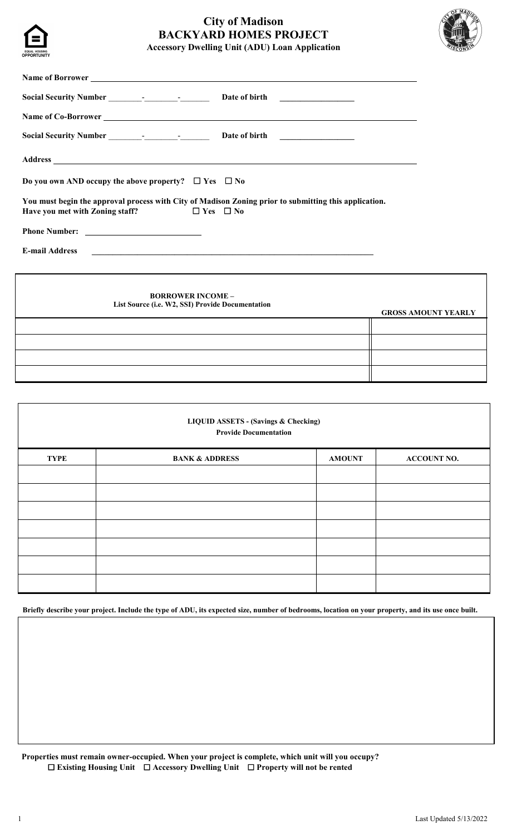

# **City of Madison BACKYARD HOMES PROJECT Accessory Dwelling Unit (ADU) Loan Application**



| Name of Co-Borrower                                                                                                                                                                                                            |                            |
|--------------------------------------------------------------------------------------------------------------------------------------------------------------------------------------------------------------------------------|----------------------------|
|                                                                                                                                                                                                                                |                            |
| Address and the contract of the contract of the contract of the contract of the contract of the contract of the contract of the contract of the contract of the contract of the contract of the contract of the contract of th |                            |
| Do you own AND occupy the above property? $\Box$ Yes $\Box$ No                                                                                                                                                                 |                            |
| You must begin the approval process with City of Madison Zoning prior to submitting this application.<br>Have you met with Zoning staff?<br>$\Box$ Yes $\Box$ No                                                               |                            |
|                                                                                                                                                                                                                                |                            |
| <b>E-mail Address</b>                                                                                                                                                                                                          |                            |
|                                                                                                                                                                                                                                |                            |
| <b>BORROWER INCOME -</b><br>List Source (i.e. W2, SSI) Provide Documentation                                                                                                                                                   | <b>GROSS AMOUNT YEARLY</b> |
|                                                                                                                                                                                                                                |                            |
|                                                                                                                                                                                                                                |                            |

| <b>LIQUID ASSETS - (Savings &amp; Checking)</b><br><b>Provide Documentation</b> |                           |               |                    |
|---------------------------------------------------------------------------------|---------------------------|---------------|--------------------|
| <b>TYPE</b>                                                                     | <b>BANK &amp; ADDRESS</b> | <b>AMOUNT</b> | <b>ACCOUNT NO.</b> |
|                                                                                 |                           |               |                    |
|                                                                                 |                           |               |                    |
|                                                                                 |                           |               |                    |
|                                                                                 |                           |               |                    |
|                                                                                 |                           |               |                    |
|                                                                                 |                           |               |                    |
|                                                                                 |                           |               |                    |

**Briefly describe your project. Include the type of ADU, its expected size, number of bedrooms, location on your property, and its use once built.** 

**Properties must remain owner-occupied. When your project is complete, which unit will you occupy?** ☐ **Existing Housing Unit** ☐ **Accessory Dwelling Unit** ☐ **Property will not be rented**